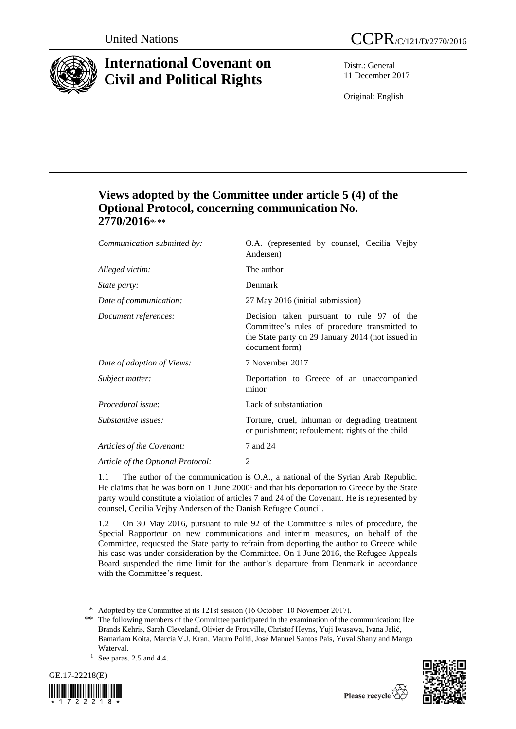

# **International Covenant on Civil and Political Rights**

Distr.: General 11 December 2017

Original: English

# **Views adopted by the Committee under article 5 (4) of the Optional Protocol, concerning communication No. 2770/2016**\* **,** \*\*

| Communication submitted by:       | O.A. (represented by counsel, Cecilia Vejby<br>Andersen)                                                                                                          |
|-----------------------------------|-------------------------------------------------------------------------------------------------------------------------------------------------------------------|
| Alleged victim:                   | The author                                                                                                                                                        |
| <i>State party:</i>               | Denmark                                                                                                                                                           |
| Date of communication:            | 27 May 2016 (initial submission)                                                                                                                                  |
| Document references:              | Decision taken pursuant to rule 97 of the<br>Committee's rules of procedure transmitted to<br>the State party on 29 January 2014 (not issued in<br>document form) |
| Date of adoption of Views:        | 7 November 2017                                                                                                                                                   |
| Subject matter:                   | Deportation to Greece of an unaccompanied<br>minor                                                                                                                |
| Procedural issue:                 | Lack of substantiation                                                                                                                                            |
| Substantive issues:               | Torture, cruel, inhuman or degrading treatment<br>or punishment; refoulement; rights of the child                                                                 |
| Articles of the Covenant:         | 7 and 24                                                                                                                                                          |
| Article of the Optional Protocol: | 2                                                                                                                                                                 |
|                                   |                                                                                                                                                                   |

1.1 The author of the communication is O.A., a national of the Syrian Arab Republic. He claims that he was born on  $1$  June  $2000<sup>1</sup>$  and that his deportation to Greece by the State party would constitute a violation of articles 7 and 24 of the Covenant. He is represented by counsel, Cecilia Vejby Andersen of the Danish Refugee Council.

1.2 On 30 May 2016, pursuant to rule 92 of the Committee's rules of procedure, the Special Rapporteur on new communications and interim measures, on behalf of the Committee, requested the State party to refrain from deporting the author to Greece while his case was under consideration by the Committee. On 1 June 2016, the Refugee Appeals Board suspended the time limit for the author's departure from Denmark in accordance with the Committee's request.

 $1$  See paras. 2.5 and 4.4.





<sup>\*</sup> Adopted by the Committee at its 121st session (16 October−10 November 2017).

<sup>\*\*</sup> The following members of the Committee participated in the examination of the communication: Ilze Brands Kehris, Sarah Cleveland, Olivier de Frouville, Christof Heyns, Yuji Iwasawa, Ivana Jelić, Bamariam Koita, Marcia V.J. Kran, Mauro Politi, José Manuel Santos Pais, Yuval Shany and Margo Waterval.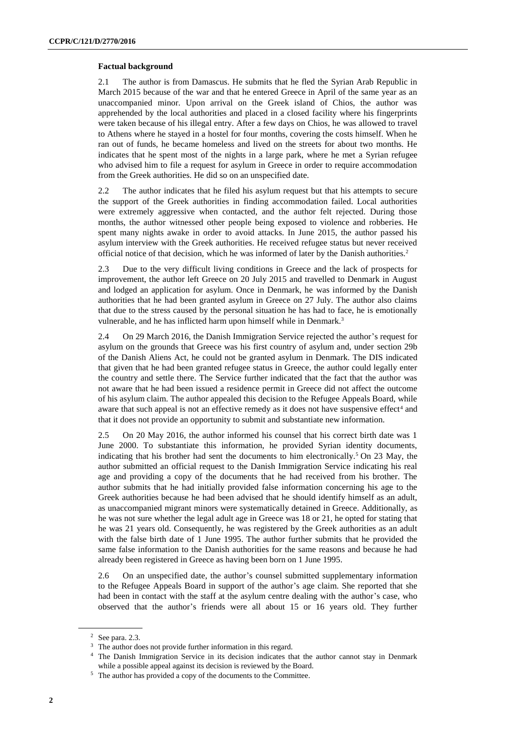# **Factual background**

2.1 The author is from Damascus. He submits that he fled the Syrian Arab Republic in March 2015 because of the war and that he entered Greece in April of the same year as an unaccompanied minor. Upon arrival on the Greek island of Chios, the author was apprehended by the local authorities and placed in a closed facility where his fingerprints were taken because of his illegal entry. After a few days on Chios, he was allowed to travel to Athens where he stayed in a hostel for four months, covering the costs himself. When he ran out of funds, he became homeless and lived on the streets for about two months. He indicates that he spent most of the nights in a large park, where he met a Syrian refugee who advised him to file a request for asylum in Greece in order to require accommodation from the Greek authorities. He did so on an unspecified date.

2.2 The author indicates that he filed his asylum request but that his attempts to secure the support of the Greek authorities in finding accommodation failed. Local authorities were extremely aggressive when contacted, and the author felt rejected. During those months, the author witnessed other people being exposed to violence and robberies. He spent many nights awake in order to avoid attacks. In June 2015, the author passed his asylum interview with the Greek authorities. He received refugee status but never received official notice of that decision, which he was informed of later by the Danish authorities.<sup>2</sup>

2.3 Due to the very difficult living conditions in Greece and the lack of prospects for improvement, the author left Greece on 20 July 2015 and travelled to Denmark in August and lodged an application for asylum. Once in Denmark, he was informed by the Danish authorities that he had been granted asylum in Greece on 27 July. The author also claims that due to the stress caused by the personal situation he has had to face, he is emotionally vulnerable, and he has inflicted harm upon himself while in Denmark.<sup>3</sup>

2.4 On 29 March 2016, the Danish Immigration Service rejected the author's request for asylum on the grounds that Greece was his first country of asylum and, under section 29b of the Danish Aliens Act, he could not be granted asylum in Denmark. The DIS indicated that given that he had been granted refugee status in Greece, the author could legally enter the country and settle there. The Service further indicated that the fact that the author was not aware that he had been issued a residence permit in Greece did not affect the outcome of his asylum claim. The author appealed this decision to the Refugee Appeals Board, while aware that such appeal is not an effective remedy as it does not have suspensive effect<sup>4</sup> and that it does not provide an opportunity to submit and substantiate new information.

2.5 On 20 May 2016, the author informed his counsel that his correct birth date was 1 June 2000. To substantiate this information, he provided Syrian identity documents, indicating that his brother had sent the documents to him electronically.<sup>5</sup> On 23 May, the author submitted an official request to the Danish Immigration Service indicating his real age and providing a copy of the documents that he had received from his brother. The author submits that he had initially provided false information concerning his age to the Greek authorities because he had been advised that he should identify himself as an adult, as unaccompanied migrant minors were systematically detained in Greece. Additionally, as he was not sure whether the legal adult age in Greece was 18 or 21, he opted for stating that he was 21 years old. Consequently, he was registered by the Greek authorities as an adult with the false birth date of 1 June 1995. The author further submits that he provided the same false information to the Danish authorities for the same reasons and because he had already been registered in Greece as having been born on 1 June 1995.

2.6 On an unspecified date, the author's counsel submitted supplementary information to the Refugee Appeals Board in support of the author's age claim. She reported that she had been in contact with the staff at the asylum centre dealing with the author's case, who observed that the author's friends were all about 15 or 16 years old. They further

<sup>2</sup> See para. 2.3.

<sup>&</sup>lt;sup>3</sup> The author does not provide further information in this regard.

<sup>4</sup> The Danish Immigration Service in its decision indicates that the author cannot stay in Denmark while a possible appeal against its decision is reviewed by the Board.

<sup>5</sup> The author has provided a copy of the documents to the Committee.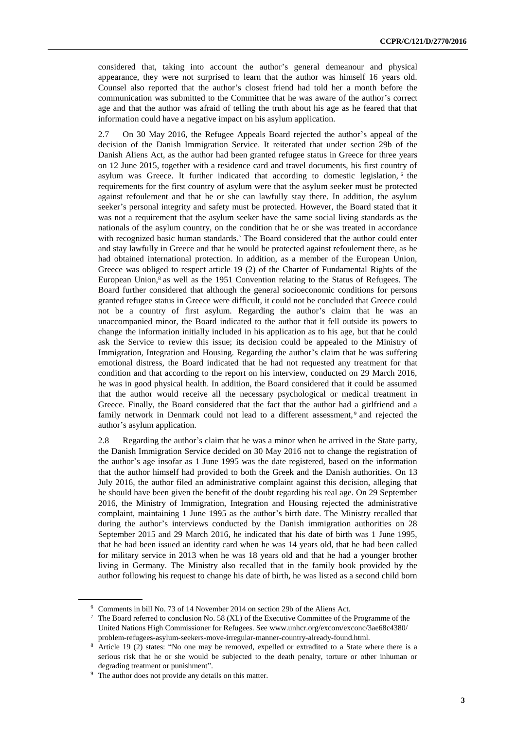considered that, taking into account the author's general demeanour and physical appearance, they were not surprised to learn that the author was himself 16 years old. Counsel also reported that the author's closest friend had told her a month before the communication was submitted to the Committee that he was aware of the author's correct age and that the author was afraid of telling the truth about his age as he feared that that information could have a negative impact on his asylum application.

2.7 On 30 May 2016, the Refugee Appeals Board rejected the author's appeal of the decision of the Danish Immigration Service. It reiterated that under section 29b of the Danish Aliens Act, as the author had been granted refugee status in Greece for three years on 12 June 2015, together with a residence card and travel documents, his first country of asylum was Greece. It further indicated that according to domestic legislation, <sup>6</sup> the requirements for the first country of asylum were that the asylum seeker must be protected against refoulement and that he or she can lawfully stay there. In addition, the asylum seeker's personal integrity and safety must be protected. However, the Board stated that it was not a requirement that the asylum seeker have the same social living standards as the nationals of the asylum country, on the condition that he or she was treated in accordance with recognized basic human standards.<sup>7</sup> The Board considered that the author could enter and stay lawfully in Greece and that he would be protected against refoulement there, as he had obtained international protection. In addition, as a member of the European Union, Greece was obliged to respect article 19 (2) of the Charter of Fundamental Rights of the European Union,<sup>8</sup> as well as the 1951 Convention relating to the Status of Refugees. The Board further considered that although the general socioeconomic conditions for persons granted refugee status in Greece were difficult, it could not be concluded that Greece could not be a country of first asylum. Regarding the author's claim that he was an unaccompanied minor, the Board indicated to the author that it fell outside its powers to change the information initially included in his application as to his age, but that he could ask the Service to review this issue; its decision could be appealed to the Ministry of Immigration, Integration and Housing. Regarding the author's claim that he was suffering emotional distress, the Board indicated that he had not requested any treatment for that condition and that according to the report on his interview, conducted on 29 March 2016, he was in good physical health. In addition, the Board considered that it could be assumed that the author would receive all the necessary psychological or medical treatment in Greece. Finally, the Board considered that the fact that the author had a girlfriend and a family network in Denmark could not lead to a different assessment,<sup>9</sup> and rejected the author's asylum application.

2.8 Regarding the author's claim that he was a minor when he arrived in the State party, the Danish Immigration Service decided on 30 May 2016 not to change the registration of the author's age insofar as 1 June 1995 was the date registered, based on the information that the author himself had provided to both the Greek and the Danish authorities. On 13 July 2016, the author filed an administrative complaint against this decision, alleging that he should have been given the benefit of the doubt regarding his real age. On 29 September 2016, the Ministry of Immigration, Integration and Housing rejected the administrative complaint, maintaining 1 June 1995 as the author's birth date. The Ministry recalled that during the author's interviews conducted by the Danish immigration authorities on 28 September 2015 and 29 March 2016, he indicated that his date of birth was 1 June 1995, that he had been issued an identity card when he was 14 years old, that he had been called for military service in 2013 when he was 18 years old and that he had a younger brother living in Germany. The Ministry also recalled that in the family book provided by the author following his request to change his date of birth, he was listed as a second child born

<sup>6</sup> Comments in bill No. 73 of 14 November 2014 on section 29b of the Aliens Act.

<sup>7</sup> The Board referred to conclusion No. 58 (XL) of the Executive Committee of the Programme of the United Nations High Commissioner for Refugees. See www.unhcr.org/excom/exconc/3ae68c4380/ problem-refugees-asylum-seekers-move-irregular-manner-country-already-found.html.

<sup>8</sup> Article 19 (2) states: "No one may be removed, expelled or extradited to a State where there is a serious risk that he or she would be subjected to the death penalty, torture or other inhuman or degrading treatment or punishment".

<sup>&</sup>lt;sup>9</sup> The author does not provide any details on this matter.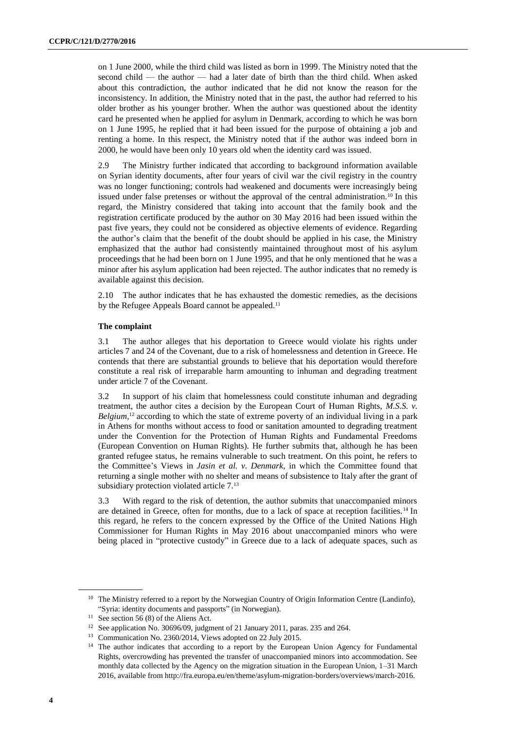on 1 June 2000, while the third child was listed as born in 1999. The Ministry noted that the second child — the author — had a later date of birth than the third child. When asked about this contradiction, the author indicated that he did not know the reason for the inconsistency. In addition, the Ministry noted that in the past, the author had referred to his older brother as his younger brother. When the author was questioned about the identity card he presented when he applied for asylum in Denmark, according to which he was born on 1 June 1995, he replied that it had been issued for the purpose of obtaining a job and renting a home. In this respect, the Ministry noted that if the author was indeed born in 2000, he would have been only 10 years old when the identity card was issued.

2.9 The Ministry further indicated that according to background information available on Syrian identity documents, after four years of civil war the civil registry in the country was no longer functioning; controls had weakened and documents were increasingly being issued under false pretenses or without the approval of the central administration.<sup>10</sup> In this regard, the Ministry considered that taking into account that the family book and the registration certificate produced by the author on 30 May 2016 had been issued within the past five years, they could not be considered as objective elements of evidence. Regarding the author's claim that the benefit of the doubt should be applied in his case, the Ministry emphasized that the author had consistently maintained throughout most of his asylum proceedings that he had been born on 1 June 1995, and that he only mentioned that he was a minor after his asylum application had been rejected. The author indicates that no remedy is available against this decision.

2.10 The author indicates that he has exhausted the domestic remedies, as the decisions by the Refugee Appeals Board cannot be appealed.<sup>11</sup>

# **The complaint**

3.1 The author alleges that his deportation to Greece would violate his rights under articles 7 and 24 of the Covenant, due to a risk of homelessness and detention in Greece. He contends that there are substantial grounds to believe that his deportation would therefore constitute a real risk of irreparable harm amounting to inhuman and degrading treatment under article 7 of the Covenant.

3.2 In support of his claim that homelessness could constitute inhuman and degrading treatment, the author cites a decision by the European Court of Human Rights, *M.S.S. v. Belgium*, <sup>12</sup> according to which the state of extreme poverty of an individual living in a park in Athens for months without access to food or sanitation amounted to degrading treatment under the Convention for the Protection of Human Rights and Fundamental Freedoms (European Convention on Human Rights). He further submits that, although he has been granted refugee status, he remains vulnerable to such treatment. On this point, he refers to the Committee's Views in *Jasin et al. v. Denmark*, in which the Committee found that returning a single mother with no shelter and means of subsistence to Italy after the grant of subsidiary protection violated article 7.<sup>13</sup>

3.3 With regard to the risk of detention, the author submits that unaccompanied minors are detained in Greece, often for months, due to a lack of space at reception facilities.<sup>14</sup> In this regard, he refers to the concern expressed by the Office of the United Nations High Commissioner for Human Rights in May 2016 about unaccompanied minors who were being placed in "protective custody" in Greece due to a lack of adequate spaces, such as

<sup>&</sup>lt;sup>10</sup> The Ministry referred to a report by the Norwegian Country of Origin Information Centre (Landinfo), "Syria: identity documents and passports" (in Norwegian).

<sup>&</sup>lt;sup>11</sup> See section 56 (8) of the Aliens Act.

<sup>&</sup>lt;sup>12</sup> See application No. [30696/09,](http://hudoc.echr.coe.int/eng#{"appno":["30696/09"]}) judgment of 21 January 2011, paras. 235 and 264.

<sup>13</sup> Communication No. 2360/2014, Views adopted on 22 July 2015.

<sup>&</sup>lt;sup>14</sup> The author indicates that according to a report by the European Union Agency for Fundamental Rights, overcrowding has prevented the transfer of unaccompanied minors into accommodation. See monthly data collected by the Agency on the migration situation in the European Union, 1–31 March 2016, available from http://fra.europa.eu/en/theme/asylum-migration-borders/overviews/march-2016.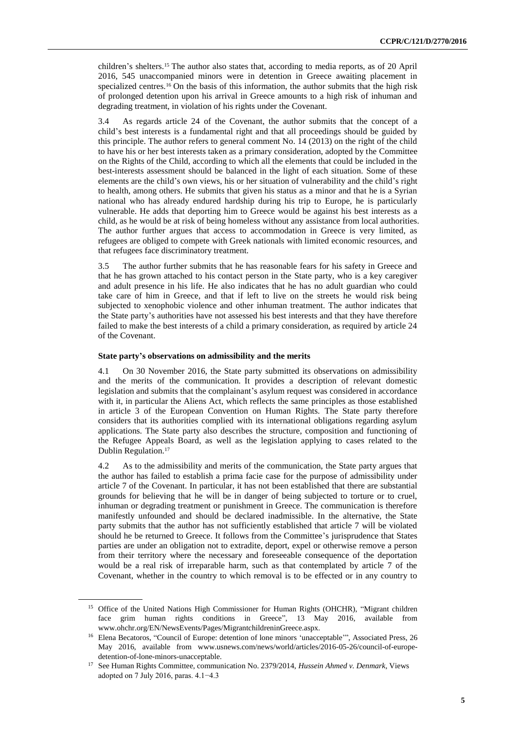children's shelters.<sup>15</sup> The author also states that, according to media reports, as of 20 April 2016, 545 unaccompanied minors were in detention in Greece awaiting placement in specialized centres.<sup>16</sup> On the basis of this information, the author submits that the high risk of prolonged detention upon his arrival in Greece amounts to a high risk of inhuman and degrading treatment, in violation of his rights under the Covenant.

3.4 As regards article 24 of the Covenant, the author submits that the concept of a child's best interests is a fundamental right and that all proceedings should be guided by this principle. The author refers to general comment No. 14 (2013) on the right of the child to have his or her best interests taken as a primary consideration, adopted by the Committee on the Rights of the Child, according to which all the elements that could be included in the best-interests assessment should be balanced in the light of each situation. Some of these elements are the child's own views, his or her situation of vulnerability and the child's right to health, among others. He submits that given his status as a minor and that he is a Syrian national who has already endured hardship during his trip to Europe, he is particularly vulnerable. He adds that deporting him to Greece would be against his best interests as a child, as he would be at risk of being homeless without any assistance from local authorities. The author further argues that access to accommodation in Greece is very limited, as refugees are obliged to compete with Greek nationals with limited economic resources, and that refugees face discriminatory treatment.

3.5 The author further submits that he has reasonable fears for his safety in Greece and that he has grown attached to his contact person in the State party, who is a key caregiver and adult presence in his life. He also indicates that he has no adult guardian who could take care of him in Greece, and that if left to live on the streets he would risk being subjected to xenophobic violence and other inhuman treatment. The author indicates that the State party's authorities have not assessed his best interests and that they have therefore failed to make the best interests of a child a primary consideration, as required by article 24 of the Covenant.

#### **State party's observations on admissibility and the merits**

4.1 On 30 November 2016, the State party submitted its observations on admissibility and the merits of the communication. It provides a description of relevant domestic legislation and submits that the complainant's asylum request was considered in accordance with it, in particular the Aliens Act, which reflects the same principles as those established in article 3 of the European Convention on Human Rights. The State party therefore considers that its authorities complied with its international obligations regarding asylum applications. The State party also describes the structure, composition and functioning of the Refugee Appeals Board, as well as the legislation applying to cases related to the Dublin Regulation.<sup>17</sup>

4.2 As to the admissibility and merits of the communication, the State party argues that the author has failed to establish a prima facie case for the purpose of admissibility under article 7 of the Covenant. In particular, it has not been established that there are substantial grounds for believing that he will be in danger of being subjected to torture or to cruel, inhuman or degrading treatment or punishment in Greece. The communication is therefore manifestly unfounded and should be declared inadmissible. In the alternative, the State party submits that the author has not sufficiently established that article 7 will be violated should he be returned to Greece. It follows from the Committee's jurisprudence that States parties are under an obligation not to extradite, deport, expel or otherwise remove a person from their territory where the necessary and foreseeable consequence of the deportation would be a real risk of irreparable harm, such as that contemplated by article 7 of the Covenant, whether in the country to which removal is to be effected or in any country to

<sup>&</sup>lt;sup>15</sup> Office of the United Nations High Commissioner for Human Rights (OHCHR), "Migrant children face grim human rights conditions in Greece", 13 May 2016, available from www.ohchr.org/EN/NewsEvents/Pages/MigrantchildreninGreece.aspx.

<sup>&</sup>lt;sup>16</sup> Elena Becatoros, "Council of Europe: detention of lone minors 'unacceptable'", Associated Press, 26 May 2016, available from www.usnews.com/news/world/articles/2016-05-26/council-of-europedetention-of-lone-minors-unacceptable.

<sup>17</sup> See Human Rights Committee, communication No. 2379/2014, *Hussein Ahmed v. Denmark*, Views adopted on 7 July 2016, paras. 4.1−4.3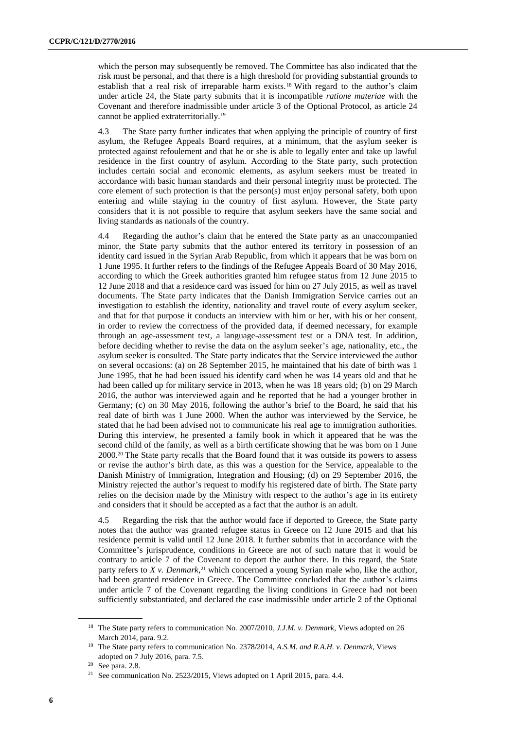which the person may subsequently be removed. The Committee has also indicated that the risk must be personal, and that there is a high threshold for providing substantial grounds to establish that a real risk of irreparable harm exists.<sup>18</sup> With regard to the author's claim under article 24, the State party submits that it is incompatible *ratione materiae* with the Covenant and therefore inadmissible under article 3 of the Optional Protocol, as article 24 cannot be applied extraterritorially.<sup>19</sup>

4.3 The State party further indicates that when applying the principle of country of first asylum, the Refugee Appeals Board requires, at a minimum, that the asylum seeker is protected against refoulement and that he or she is able to legally enter and take up lawful residence in the first country of asylum. According to the State party, such protection includes certain social and economic elements, as asylum seekers must be treated in accordance with basic human standards and their personal integrity must be protected. The core element of such protection is that the person(s) must enjoy personal safety, both upon entering and while staying in the country of first asylum. However, the State party considers that it is not possible to require that asylum seekers have the same social and living standards as nationals of the country.

4.4 Regarding the author's claim that he entered the State party as an unaccompanied minor, the State party submits that the author entered its territory in possession of an identity card issued in the Syrian Arab Republic, from which it appears that he was born on 1 June 1995. It further refers to the findings of the Refugee Appeals Board of 30 May 2016, according to which the Greek authorities granted him refugee status from 12 June 2015 to 12 June 2018 and that a residence card was issued for him on 27 July 2015, as well as travel documents. The State party indicates that the Danish Immigration Service carries out an investigation to establish the identity, nationality and travel route of every asylum seeker, and that for that purpose it conducts an interview with him or her, with his or her consent, in order to review the correctness of the provided data, if deemed necessary, for example through an age-assessment test, a language-assessment test or a DNA test. In addition, before deciding whether to revise the data on the asylum seeker's age, nationality, etc., the asylum seeker is consulted. The State party indicates that the Service interviewed the author on several occasions: (a) on 28 September 2015, he maintained that his date of birth was 1 June 1995, that he had been issued his identify card when he was 14 years old and that he had been called up for military service in 2013, when he was 18 years old; (b) on 29 March 2016, the author was interviewed again and he reported that he had a younger brother in Germany; (c) on 30 May 2016, following the author's brief to the Board, he said that his real date of birth was 1 June 2000. When the author was interviewed by the Service, he stated that he had been advised not to communicate his real age to immigration authorities. During this interview, he presented a family book in which it appeared that he was the second child of the family, as well as a birth certificate showing that he was born on 1 June 2000.<sup>20</sup> The State party recalls that the Board found that it was outside its powers to assess or revise the author's birth date, as this was a question for the Service, appealable to the Danish Ministry of Immigration, Integration and Housing; (d) on 29 September 2016, the Ministry rejected the author's request to modify his registered date of birth. The State party relies on the decision made by the Ministry with respect to the author's age in its entirety and considers that it should be accepted as a fact that the author is an adult.

4.5 Regarding the risk that the author would face if deported to Greece, the State party notes that the author was granted refugee status in Greece on 12 June 2015 and that his residence permit is valid until 12 June 2018. It further submits that in accordance with the Committee's jurisprudence, conditions in Greece are not of such nature that it would be contrary to article 7 of the Covenant to deport the author there. In this regard, the State party refers to *X v. Denmark*, <sup>21</sup> which concerned a young Syrian male who, like the author, had been granted residence in Greece. The Committee concluded that the author's claims under article 7 of the Covenant regarding the living conditions in Greece had not been sufficiently substantiated, and declared the case inadmissible under article 2 of the Optional

<sup>18</sup> The State party refers to communication No. 2007/2010*, J.J.M. v. Denmark*, Views adopted on 26 March 2014, para. 9.2.

<sup>19</sup> The State party refers to communication No. 2378/2014, *A.S.M. and R.A.H. v. Denmark*, Views adopted on 7 July 2016, para. 7.5.

<sup>20</sup> See para. 2.8.

<sup>21</sup> See communication No. 2523/2015, Views adopted on 1 April 2015, para. 4.4.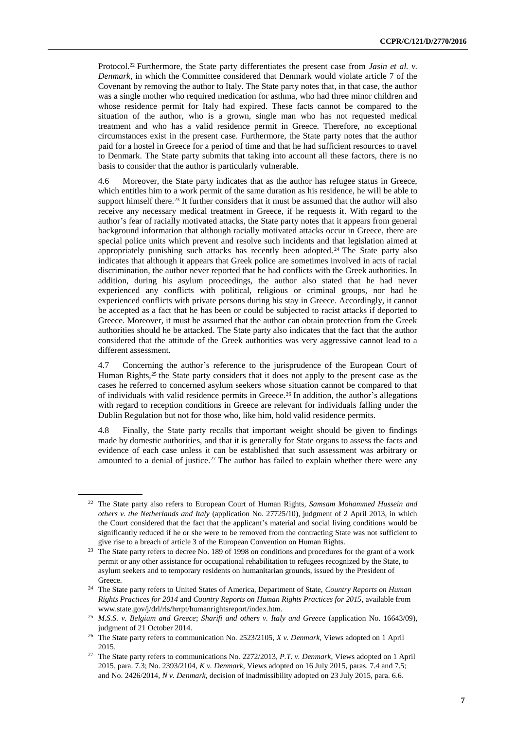Protocol.<sup>22</sup> Furthermore, the State party differentiates the present case from *Jasin et al. v. Denmark*, in which the Committee considered that Denmark would violate article 7 of the Covenant by removing the author to Italy. The State party notes that, in that case, the author was a single mother who required medication for asthma, who had three minor children and whose residence permit for Italy had expired. These facts cannot be compared to the situation of the author, who is a grown, single man who has not requested medical treatment and who has a valid residence permit in Greece. Therefore, no exceptional circumstances exist in the present case. Furthermore, the State party notes that the author paid for a hostel in Greece for a period of time and that he had sufficient resources to travel to Denmark. The State party submits that taking into account all these factors, there is no basis to consider that the author is particularly vulnerable.

4.6 Moreover, the State party indicates that as the author has refugee status in Greece, which entitles him to a work permit of the same duration as his residence, he will be able to support himself there.<sup>23</sup> It further considers that it must be assumed that the author will also receive any necessary medical treatment in Greece, if he requests it. With regard to the author's fear of racially motivated attacks, the State party notes that it appears from general background information that although racially motivated attacks occur in Greece, there are special police units which prevent and resolve such incidents and that legislation aimed at appropriately punishing such attacks has recently been adopted.<sup>24</sup> The State party also indicates that although it appears that Greek police are sometimes involved in acts of racial discrimination, the author never reported that he had conflicts with the Greek authorities. In addition, during his asylum proceedings, the author also stated that he had never experienced any conflicts with political, religious or criminal groups, nor had he experienced conflicts with private persons during his stay in Greece. Accordingly, it cannot be accepted as a fact that he has been or could be subjected to racist attacks if deported to Greece. Moreover, it must be assumed that the author can obtain protection from the Greek authorities should he be attacked. The State party also indicates that the fact that the author considered that the attitude of the Greek authorities was very aggressive cannot lead to a different assessment.

4.7 Concerning the author's reference to the jurisprudence of the European Court of Human Rights,<sup>25</sup> the State party considers that it does not apply to the present case as the cases he referred to concerned asylum seekers whose situation cannot be compared to that of individuals with valid residence permits in Greece.<sup>26</sup> In addition, the author's allegations with regard to reception conditions in Greece are relevant for individuals falling under the Dublin Regulation but not for those who, like him, hold valid residence permits.

4.8 Finally, the State party recalls that important weight should be given to findings made by domestic authorities, and that it is generally for State organs to assess the facts and evidence of each case unless it can be established that such assessment was arbitrary or amounted to a denial of justice.<sup>27</sup> The author has failed to explain whether there were any

<sup>22</sup> The State party also refers to European Court of Human Rights, *Samsam Mohammed Hussein and others v. the Netherlands and Italy* (application No. 27725/10), judgment of 2 April 2013, in which the Court considered that the fact that the applicant's material and social living conditions would be significantly reduced if he or she were to be removed from the contracting State was not sufficient to give rise to a breach of article 3 of the European Convention on Human Rights.

<sup>&</sup>lt;sup>23</sup> The State party refers to decree No. 189 of 1998 on conditions and procedures for the grant of a work permit or any other assistance for occupational rehabilitation to refugees recognized by the State, to asylum seekers and to temporary residents on humanitarian grounds, issued by the President of Greece.

<sup>24</sup> The State party refers to United States of America, Department of State, *Country Reports on Human Rights Practices for 2014* and *Country Reports on Human Rights Practices for 2015*, available from [www.state.gov/j/drl/rls/hrrpt/humanrightsreport/index.htm.](http://www.state.gov/j/drl/rls/hrrpt/humanrightsreport/index.htm)

<sup>25</sup> *M.S.S. v. Belgium and Greece*; *Sharifi and others v. Italy and Greece* (application No. 16643/09), judgment of 21 October 2014.

<sup>26</sup> The State party refers to communication No. 2523/2105, *X v. Denmark,* Views adopted on 1 April 2015.

<sup>27</sup> The State party refers to communications No. 2272/2013*, P.T. v. Denmark*, Views adopted on 1 April 2015, para. 7.3; No. 2393/2104, *K v. Denmark*, Views adopted on 16 July 2015, paras. 7.4 and 7.5; and No. 2426/2014, *N v. Denmark*, decision of inadmissibility adopted on 23 July 2015, para. 6.6.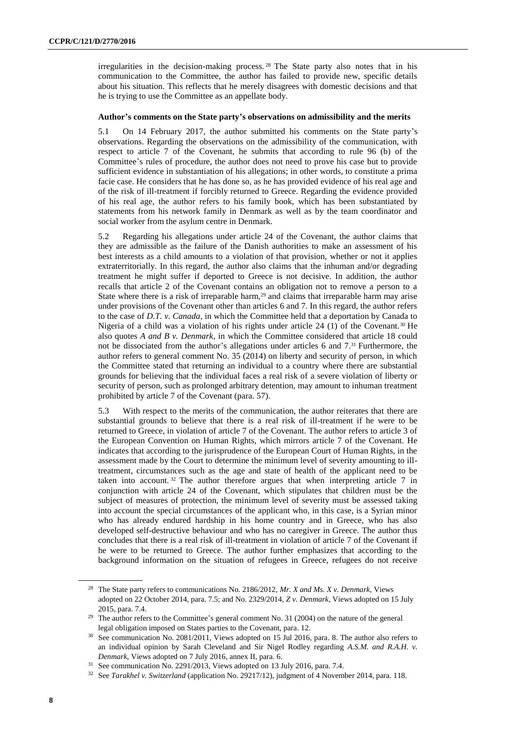irregularities in the decision-making process. <sup>28</sup> The State party also notes that in his communication to the Committee, the author has failed to provide new, specific details about his situation. This reflects that he merely disagrees with domestic decisions and that he is trying to use the Committee as an appellate body.

#### **Author's comments on the State party's observations on admissibility and the merits**

5.1 On 14 February 2017, the author submitted his comments on the State party's observations. Regarding the observations on the admissibility of the communication, with respect to article 7 of the Covenant, he submits that according to rule 96 (b) of the Committee's rules of procedure, the author does not need to prove his case but to provide sufficient evidence in substantiation of his allegations; in other words, to constitute a prima facie case. He considers that he has done so, as he has provided evidence of his real age and of the risk of ill-treatment if forcibly returned to Greece. Regarding the evidence provided of his real age, the author refers to his family book, which has been substantiated by statements from his network family in Denmark as well as by the team coordinator and social worker from the asylum centre in Denmark.

5.2 Regarding his allegations under article 24 of the Covenant, the author claims that they are admissible as the failure of the Danish authorities to make an assessment of his best interests as a child amounts to a violation of that provision, whether or not it applies extraterritorially. In this regard, the author also claims that the inhuman and/or degrading treatment he might suffer if deported to Greece is not decisive. In addition, the author recalls that article 2 of the Covenant contains an obligation not to remove a person to a State where there is a risk of irreparable harm,<sup>29</sup> and claims that irreparable harm may arise under provisions of the Covenant other than articles 6 and 7. In this regard, the author refers to the case of *D.T. v. Canada*, in which the Committee held that a deportation by Canada to Nigeria of a child was a violation of his rights under article 24 (1) of the Covenant.<sup>30</sup> He also quotes *A and B v. Denmark*, in which the Committee considered that article 18 could not be dissociated from the author's allegations under articles 6 and 7.<sup>31</sup> Furthermore, the author refers to general comment No. 35 (2014) on liberty and security of person, in which the Committee stated that returning an individual to a country where there are substantial grounds for believing that the individual faces a real risk of a severe violation of liberty or security of person, such as prolonged arbitrary detention, may amount to inhuman treatment prohibited by article 7 of the Covenant (para. 57).

5.3 With respect to the merits of the communication, the author reiterates that there are substantial grounds to believe that there is a real risk of ill-treatment if he were to be returned to Greece, in violation of article 7 of the Covenant. The author refers to article 3 of the European Convention on Human Rights, which mirrors article 7 of the Covenant. He indicates that according to the jurisprudence of the European Court of Human Rights, in the assessment made by the Court to determine the minimum level of severity amounting to illtreatment, circumstances such as the age and state of health of the applicant need to be taken into account.<sup>32</sup> The author therefore argues that when interpreting article  $7$  in conjunction with article 24 of the Covenant, which stipulates that children must be the subject of measures of protection, the minimum level of severity must be assessed taking into account the special circumstances of the applicant who, in this case, is a Syrian minor who has already endured hardship in his home country and in Greece, who has also developed self-destructive behaviour and who has no caregiver in Greece. The author thus concludes that there is a real risk of ill-treatment in violation of article 7 of the Covenant if he were to be returned to Greece. The author further emphasizes that according to the background information on the situation of refugees in Greece, refugees do not receive

<sup>28</sup> The State party refers to communications No. 2186/2012, *Mr. X and Ms. X v. Denmark*, Views adopted on 22 October 2014, para. 7.5; and No. 2329/2014, *Z v. Denmark*, Views adopted on 15 July 2015, para. 7.4.

<sup>&</sup>lt;sup>29</sup> The author refers to the Committee's general comment No. 31 (2004) on the nature of the general legal obligation imposed on States parties to the Covenant, para. 12.

<sup>30</sup> See communication No. 2081/2011, Views adopted on 15 Jul 2016, para. 8. The author also refers to an individual opinion by Sarah Cleveland and Sir Nigel Rodley regarding *A.S.M. and R.A.H. v. Denmark*, Views adopted on 7 July 2016, annex II, para. 6.

<sup>31</sup> See communication No. 2291/2013, Views adopted on 13 July 2016, para. 7.4.

<sup>32</sup> See *Tarakhel v. Switzerland* (application No. 29217/12), judgment of 4 November 2014, para. 118.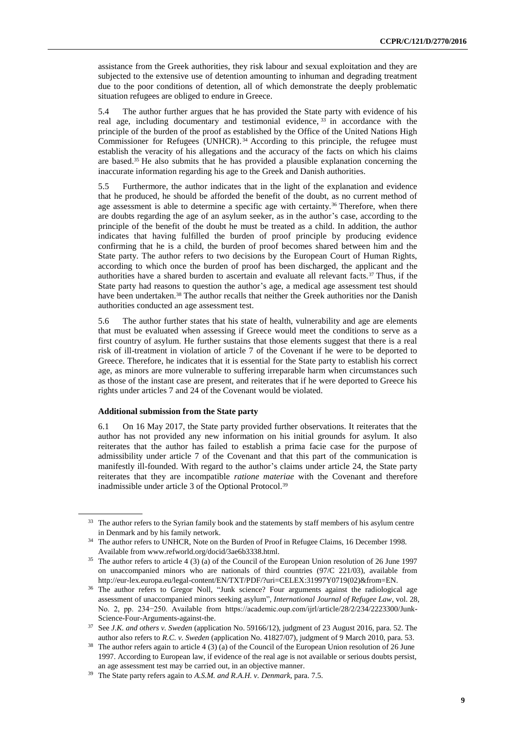assistance from the Greek authorities, they risk labour and sexual exploitation and they are subjected to the extensive use of detention amounting to inhuman and degrading treatment due to the poor conditions of detention, all of which demonstrate the deeply problematic situation refugees are obliged to endure in Greece.

5.4 The author further argues that he has provided the State party with evidence of his real age, including documentary and testimonial evidence,  $33$  in accordance with the principle of the burden of the proof as established by the Office of the United Nations High Commissioner for Refugees (UNHCR). <sup>34</sup> According to this principle, the refugee must establish the veracity of his allegations and the accuracy of the facts on which his claims are based.<sup>35</sup> He also submits that he has provided a plausible explanation concerning the inaccurate information regarding his age to the Greek and Danish authorities.

5.5 Furthermore, the author indicates that in the light of the explanation and evidence that he produced, he should be afforded the benefit of the doubt, as no current method of age assessment is able to determine a specific age with certainty.<sup>36</sup> Therefore, when there are doubts regarding the age of an asylum seeker, as in the author's case, according to the principle of the benefit of the doubt he must be treated as a child. In addition, the author indicates that having fulfilled the burden of proof principle by producing evidence confirming that he is a child, the burden of proof becomes shared between him and the State party. The author refers to two decisions by the European Court of Human Rights, according to which once the burden of proof has been discharged, the applicant and the authorities have a shared burden to ascertain and evaluate all relevant facts.<sup>37</sup> Thus, if the State party had reasons to question the author's age, a medical age assessment test should have been undertaken.<sup>38</sup> The author recalls that neither the Greek authorities nor the Danish authorities conducted an age assessment test.

5.6 The author further states that his state of health, vulnerability and age are elements that must be evaluated when assessing if Greece would meet the conditions to serve as a first country of asylum. He further sustains that those elements suggest that there is a real risk of ill-treatment in violation of article 7 of the Covenant if he were to be deported to Greece. Therefore, he indicates that it is essential for the State party to establish his correct age, as minors are more vulnerable to suffering irreparable harm when circumstances such as those of the instant case are present, and reiterates that if he were deported to Greece his rights under articles 7 and 24 of the Covenant would be violated.

#### **Additional submission from the State party**

6.1 On 16 May 2017, the State party provided further observations. It reiterates that the author has not provided any new information on his initial grounds for asylum. It also reiterates that the author has failed to establish a prima facie case for the purpose of admissibility under article 7 of the Covenant and that this part of the communication is manifestly ill-founded. With regard to the author's claims under article 24, the State party reiterates that they are incompatible *ratione materiae* with the Covenant and therefore inadmissible under article 3 of the Optional Protocol.<sup>39</sup>

<sup>&</sup>lt;sup>33</sup> The author refers to the Syrian family book and the statements by staff members of his asylum centre in Denmark and by his family network.

<sup>&</sup>lt;sup>34</sup> The author refers to UNHCR, Note on the Burden of Proof in Refugee Claims, 16 December 1998. Available from www.refworld.org/docid/3ae6b3338.html.

<sup>35</sup> The author refers to article 4 (3) (a) of the Council of the European Union resolution of 26 June 1997 on unaccompanied minors who are nationals of third countries (97/C 221/03), available from http://eur-lex.europa.eu/legal-content/EN/TXT/PDF/?uri=CELEX:31997Y0719(02)&from=EN.

<sup>&</sup>lt;sup>36</sup> The author refers to Gregor Noll, "Junk science? Four arguments against the radiological age assessment of unaccompanied minors seeking asylum", *International Journal of Refugee Law*, vol. 28, No. 2, pp. 234−250. Available from https://academic.oup.com/ijrl/article/28/2/234/2223300/Junk-Science-Four-Arguments-against-the.

<sup>37</sup> See *J.K. and others v. Sweden* (application No. 59166/12), judgment of 23 August 2016, para. 52. The author also refers to *R.C. v. Sweden* (application No. 41827/07), judgment of 9 March 2010, para. 53.

<sup>38</sup> The author refers again to article 4 (3) (a) of the Council of the European Union resolution of 26 June 1997. According to European law, if evidence of the real age is not available or serious doubts persist, an age assessment test may be carried out, in an objective manner.

<sup>39</sup> The State party refers again to *A.S.M. and R.A.H. v. Denmark*, para. 7.5.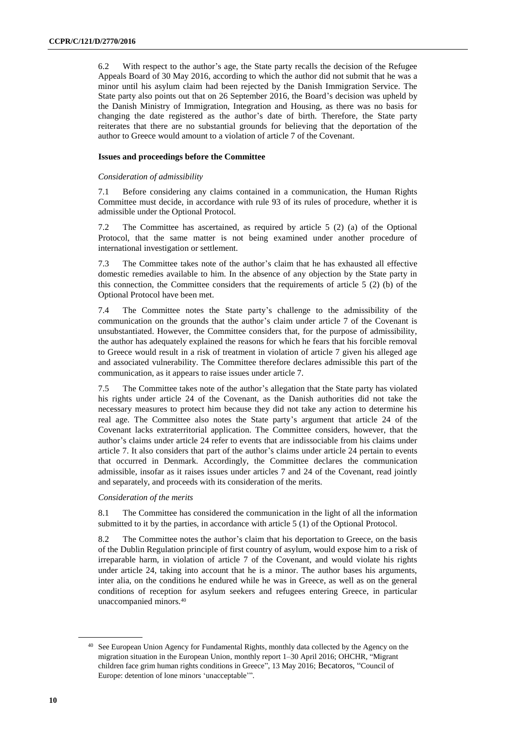6.2 With respect to the author's age, the State party recalls the decision of the Refugee Appeals Board of 30 May 2016, according to which the author did not submit that he was a minor until his asylum claim had been rejected by the Danish Immigration Service. The State party also points out that on 26 September 2016, the Board's decision was upheld by the Danish Ministry of Immigration, Integration and Housing, as there was no basis for changing the date registered as the author's date of birth. Therefore, the State party reiterates that there are no substantial grounds for believing that the deportation of the author to Greece would amount to a violation of article 7 of the Covenant.

# **Issues and proceedings before the Committee**

# *Consideration of admissibility*

7.1 Before considering any claims contained in a communication, the Human Rights Committee must decide, in accordance with rule 93 of its rules of procedure, whether it is admissible under the Optional Protocol.

7.2 The Committee has ascertained, as required by article 5 (2) (a) of the Optional Protocol, that the same matter is not being examined under another procedure of international investigation or settlement.

7.3 The Committee takes note of the author's claim that he has exhausted all effective domestic remedies available to him. In the absence of any objection by the State party in this connection, the Committee considers that the requirements of article 5 (2) (b) of the Optional Protocol have been met.

7.4 The Committee notes the State party's challenge to the admissibility of the communication on the grounds that the author's claim under article 7 of the Covenant is unsubstantiated. However, the Committee considers that, for the purpose of admissibility, the author has adequately explained the reasons for which he fears that his forcible removal to Greece would result in a risk of treatment in violation of article 7 given his alleged age and associated vulnerability. The Committee therefore declares admissible this part of the communication, as it appears to raise issues under article 7.

7.5 The Committee takes note of the author's allegation that the State party has violated his rights under article 24 of the Covenant, as the Danish authorities did not take the necessary measures to protect him because they did not take any action to determine his real age. The Committee also notes the State party's argument that article 24 of the Covenant lacks extraterritorial application. The Committee considers, however, that the author's claims under article 24 refer to events that are indissociable from his claims under article 7. It also considers that part of the author's claims under article 24 pertain to events that occurred in Denmark. Accordingly, the Committee declares the communication admissible, insofar as it raises issues under articles 7 and 24 of the Covenant, read jointly and separately, and proceeds with its consideration of the merits.

#### *Consideration of the merits*

8.1 The Committee has considered the communication in the light of all the information submitted to it by the parties, in accordance with article 5 (1) of the Optional Protocol.

8.2 The Committee notes the author's claim that his deportation to Greece, on the basis of the Dublin Regulation principle of first country of asylum, would expose him to a risk of irreparable harm, in violation of article 7 of the Covenant, and would violate his rights under article 24, taking into account that he is a minor. The author bases his arguments, inter alia, on the conditions he endured while he was in Greece, as well as on the general conditions of reception for asylum seekers and refugees entering Greece, in particular unaccompanied minors.<sup>40</sup>

<sup>40</sup> See European Union Agency for Fundamental Rights, monthly data collected by the Agency on the migration situation in the European Union*,* monthly report 1–30 April 2016; OHCHR, "Migrant children face grim human rights conditions in Greece", 13 May 2016; Becatoros, "Council of Europe: detention of lone minors 'unacceptable'".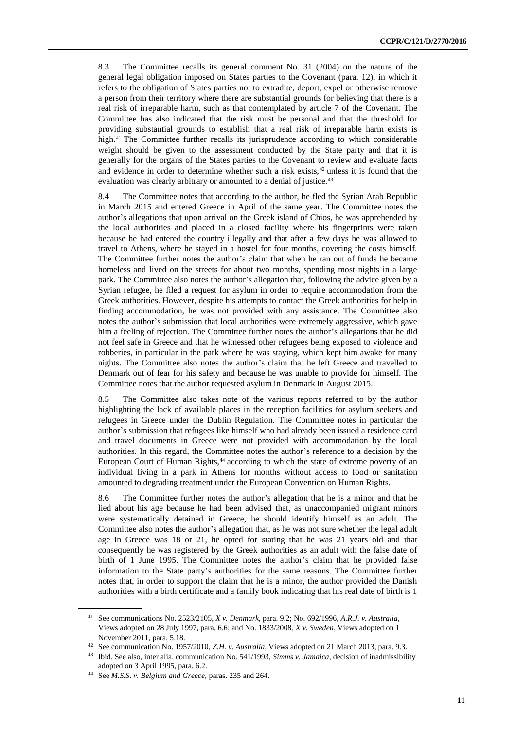8.3 The Committee recalls its general comment No. 31 (2004) on the nature of the general legal obligation imposed on States parties to the Covenant (para. 12), in which it refers to the obligation of States parties not to extradite, deport, expel or otherwise remove a person from their territory where there are substantial grounds for believing that there is a real risk of irreparable harm, such as that contemplated by article 7 of the Covenant. The Committee has also indicated that the risk must be personal and that the threshold for providing substantial grounds to establish that a real risk of irreparable harm exists is high.<sup>41</sup> The Committee further recalls its jurisprudence according to which considerable weight should be given to the assessment conducted by the State party and that it is generally for the organs of the States parties to the Covenant to review and evaluate facts and evidence in order to determine whether such a risk exists,<sup>42</sup> unless it is found that the evaluation was clearly arbitrary or amounted to a denial of justice.<sup>43</sup>

8.4 The Committee notes that according to the author, he fled the Syrian Arab Republic in March 2015 and entered Greece in April of the same year. The Committee notes the author's allegations that upon arrival on the Greek island of Chios, he was apprehended by the local authorities and placed in a closed facility where his fingerprints were taken because he had entered the country illegally and that after a few days he was allowed to travel to Athens, where he stayed in a hostel for four months, covering the costs himself. The Committee further notes the author's claim that when he ran out of funds he became homeless and lived on the streets for about two months, spending most nights in a large park. The Committee also notes the author's allegation that, following the advice given by a Syrian refugee, he filed a request for asylum in order to require accommodation from the Greek authorities. However, despite his attempts to contact the Greek authorities for help in finding accommodation, he was not provided with any assistance. The Committee also notes the author's submission that local authorities were extremely aggressive, which gave him a feeling of rejection. The Committee further notes the author's allegations that he did not feel safe in Greece and that he witnessed other refugees being exposed to violence and robberies, in particular in the park where he was staying, which kept him awake for many nights. The Committee also notes the author's claim that he left Greece and travelled to Denmark out of fear for his safety and because he was unable to provide for himself. The Committee notes that the author requested asylum in Denmark in August 2015.

8.5 The Committee also takes note of the various reports referred to by the author highlighting the lack of available places in the reception facilities for asylum seekers and refugees in Greece under the Dublin Regulation. The Committee notes in particular the author's submission that refugees like himself who had already been issued a residence card and travel documents in Greece were not provided with accommodation by the local authorities. In this regard, the Committee notes the author's reference to a decision by the European Court of Human Rights,<sup>44</sup> according to which the state of extreme poverty of an individual living in a park in Athens for months without access to food or sanitation amounted to degrading treatment under the European Convention on Human Rights.

8.6 The Committee further notes the author's allegation that he is a minor and that he lied about his age because he had been advised that, as unaccompanied migrant minors were systematically detained in Greece, he should identify himself as an adult. The Committee also notes the author's allegation that, as he was not sure whether the legal adult age in Greece was 18 or 21, he opted for stating that he was 21 years old and that consequently he was registered by the Greek authorities as an adult with the false date of birth of 1 June 1995. The Committee notes the author's claim that he provided false information to the State party's authorities for the same reasons. The Committee further notes that, in order to support the claim that he is a minor, the author provided the Danish authorities with a birth certificate and a family book indicating that his real date of birth is 1

<sup>41</sup> See communications No. 2523/2105, *X v. Denmark*, para. 9.2; No. 692/1996, *A.R.J. v. Australia,*  Views adopted on 28 July 1997, para. 6.6; and No. 1833/2008*, X v. Sweden*, Views adopted on 1 November 2011, para. 5.18.

<sup>42</sup> See communication No. 1957/2010, *Z.H. v. Australia*, Views adopted on 21 March 2013, para. 9.3.

<sup>43</sup> Ibid. See also, inter alia, communication No. 541/1993, *Simms v. Jamaica*, decision of inadmissibility adopted on 3 April 1995, para. 6.2.

<sup>44</sup> See *M.S.S. v. Belgium and Greece*, paras. 235 and 264.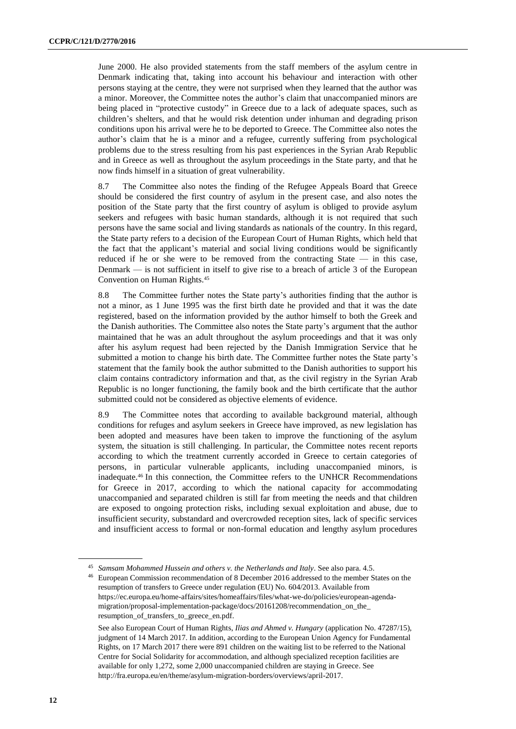June 2000. He also provided statements from the staff members of the asylum centre in Denmark indicating that, taking into account his behaviour and interaction with other persons staying at the centre, they were not surprised when they learned that the author was a minor. Moreover, the Committee notes the author's claim that unaccompanied minors are being placed in "protective custody" in Greece due to a lack of adequate spaces, such as children's shelters, and that he would risk detention under inhuman and degrading prison conditions upon his arrival were he to be deported to Greece. The Committee also notes the author's claim that he is a minor and a refugee, currently suffering from psychological problems due to the stress resulting from his past experiences in the Syrian Arab Republic and in Greece as well as throughout the asylum proceedings in the State party, and that he now finds himself in a situation of great vulnerability.

8.7 The Committee also notes the finding of the Refugee Appeals Board that Greece should be considered the first country of asylum in the present case, and also notes the position of the State party that the first country of asylum is obliged to provide asylum seekers and refugees with basic human standards, although it is not required that such persons have the same social and living standards as nationals of the country. In this regard, the State party refers to a decision of the European Court of Human Rights, which held that the fact that the applicant's material and social living conditions would be significantly reduced if he or she were to be removed from the contracting State — in this case, Denmark — is not sufficient in itself to give rise to a breach of article 3 of the European Convention on Human Rights.<sup>45</sup>

8.8 The Committee further notes the State party's authorities finding that the author is not a minor, as 1 June 1995 was the first birth date he provided and that it was the date registered, based on the information provided by the author himself to both the Greek and the Danish authorities. The Committee also notes the State party's argument that the author maintained that he was an adult throughout the asylum proceedings and that it was only after his asylum request had been rejected by the Danish Immigration Service that he submitted a motion to change his birth date. The Committee further notes the State party's statement that the family book the author submitted to the Danish authorities to support his claim contains contradictory information and that, as the civil registry in the Syrian Arab Republic is no longer functioning, the family book and the birth certificate that the author submitted could not be considered as objective elements of evidence.

8.9 The Committee notes that according to available background material, although conditions for refuges and asylum seekers in Greece have improved, as new legislation has been adopted and measures have been taken to improve the functioning of the asylum system, the situation is still challenging. In particular, the Committee notes recent reports according to which the treatment currently accorded in Greece to certain categories of persons, in particular vulnerable applicants, including unaccompanied minors, is inadequate.<sup>46</sup> In this connection, the Committee refers to the UNHCR Recommendations for Greece in 2017, according to which the national capacity for accommodating unaccompanied and separated children is still far from meeting the needs and that children are exposed to ongoing protection risks, including sexual exploitation and abuse, due to insufficient security, substandard and overcrowded reception sites, lack of specific services and insufficient access to formal or non-formal education and lengthy asylum procedures

<sup>45</sup> *Samsam Mohammed Hussein and others v. the Netherlands and Italy*. See also para. 4.5.

<sup>46</sup> European Commission recommendation of 8 December 2016 addressed to the member States on the resumption of transfers to Greece under regulation (EU) No. 604/2013. Available from [https://ec.europa.eu/home-affairs/sites/homeaffairs/files/what-we-do/policies/european-agenda](https://ec.europa.eu/home-affairs/sites/homeaffairs/files/what-we-do/policies/european-agenda-migration/proposal-implementation-package/docs/20161208/recommendation_on_the_resumption_of_transfers_to_greece_en.pdf)[migration/proposal-implementation-package/docs/20161208/recommendation\\_on\\_the\\_](https://ec.europa.eu/home-affairs/sites/homeaffairs/files/what-we-do/policies/european-agenda-migration/proposal-implementation-package/docs/20161208/recommendation_on_the_resumption_of_transfers_to_greece_en.pdf) [resumption\\_of\\_transfers\\_to\\_greece\\_en.pdf.](https://ec.europa.eu/home-affairs/sites/homeaffairs/files/what-we-do/policies/european-agenda-migration/proposal-implementation-package/docs/20161208/recommendation_on_the_resumption_of_transfers_to_greece_en.pdf)

See also European Court of Human Rights, *Ilias and Ahmed v. Hungary* (application No. 47287/15), judgment of 14 March 2017. In addition, according to the European Union Agency for Fundamental Rights, on 17 March 2017 there were 891 children on the waiting list to be referred to the National Centre for Social Solidarity for accommodation, and although specialized reception facilities are available for only 1,272, some [2,000 unaccompanied children are staying in Greece.](http://www.ekka.org.gr/files/english19417.pdf) See [http://fra.europa.eu/en/theme/asylum-migration-borders/overviews/april-2017.](http://fra.europa.eu/en/theme/asylum-migration-borders/overviews/april-2017)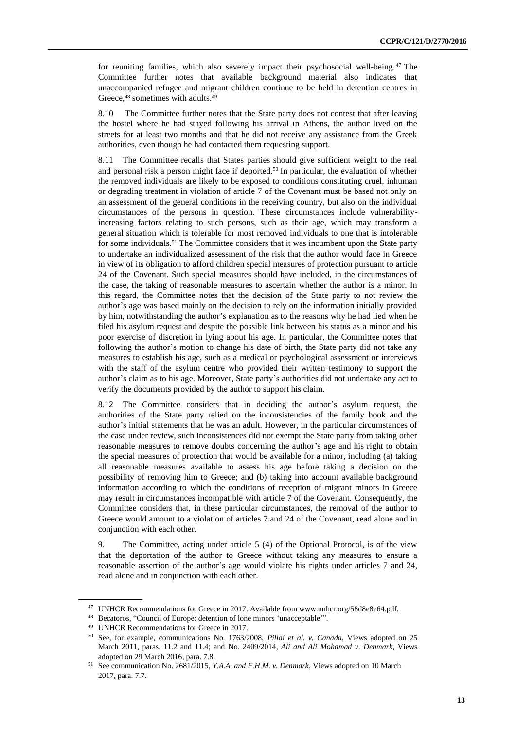for reuniting families, which also severely impact their psychosocial well-being. <sup>47</sup> The Committee further notes that available background material also indicates that unaccompanied refugee and migrant children continue to be held in detention centres in Greece,<sup>48</sup> sometimes with adults.<sup>49</sup>

8.10 The Committee further notes that the State party does not contest that after leaving the hostel where he had stayed following his arrival in Athens, the author lived on the streets for at least two months and that he did not receive any assistance from the Greek authorities, even though he had contacted them requesting support.

8.11 The Committee recalls that States parties should give sufficient weight to the real and personal risk a person might face if deported.<sup>50</sup> In particular, the evaluation of whether the removed individuals are likely to be exposed to conditions constituting cruel, inhuman or degrading treatment in violation of article 7 of the Covenant must be based not only on an assessment of the general conditions in the receiving country, but also on the individual circumstances of the persons in question. These circumstances include vulnerabilityincreasing factors relating to such persons, such as their age, which may transform a general situation which is tolerable for most removed individuals to one that is intolerable for some individuals.<sup>51</sup> The Committee considers that it was incumbent upon the State party to undertake an individualized assessment of the risk that the author would face in Greece in view of its obligation to afford children special measures of protection pursuant to article 24 of the Covenant. Such special measures should have included, in the circumstances of the case, the taking of reasonable measures to ascertain whether the author is a minor. In this regard, the Committee notes that the decision of the State party to not review the author's age was based mainly on the decision to rely on the information initially provided by him, notwithstanding the author's explanation as to the reasons why he had lied when he filed his asylum request and despite the possible link between his status as a minor and his poor exercise of discretion in lying about his age. In particular, the Committee notes that following the author's motion to change his date of birth, the State party did not take any measures to establish his age, such as a medical or psychological assessment or interviews with the staff of the asylum centre who provided their written testimony to support the author's claim as to his age. Moreover, State party's authorities did not undertake any act to verify the documents provided by the author to support his claim.

8.12 The Committee considers that in deciding the author's asylum request, the authorities of the State party relied on the inconsistencies of the family book and the author's initial statements that he was an adult. However, in the particular circumstances of the case under review, such inconsistences did not exempt the State party from taking other reasonable measures to remove doubts concerning the author's age and his right to obtain the special measures of protection that would be available for a minor, including (a) taking all reasonable measures available to assess his age before taking a decision on the possibility of removing him to Greece; and (b) taking into account available background information according to which the conditions of reception of migrant minors in Greece may result in circumstances incompatible with article 7 of the Covenant. Consequently, the Committee considers that, in these particular circumstances, the removal of the author to Greece would amount to a violation of articles 7 and 24 of the Covenant, read alone and in conjunction with each other.

9. The Committee, acting under article 5 (4) of the Optional Protocol, is of the view that the deportation of the author to Greece without taking any measures to ensure a reasonable assertion of the author's age would violate his rights under articles 7 and 24, read alone and in conjunction with each other.

<sup>47</sup> UNHCR Recommendations for Greece in 2017. Available from www.unhcr.org/58d8e8e64.pdf.

<sup>48</sup> Becatoros, "Council of Europe: detention of lone minors 'unacceptable'".

<sup>49</sup> UNHCR Recommendations for Greece in 2017.

<sup>50</sup> See, for example, communications No. 1763/2008, *Pillai et al. v. Canada*, Views adopted on 25 March 2011, paras. 11.2 and 11.4; and No. 2409/2014, *Ali and Ali Mohamad v. Denmark*, Views adopted on 29 March 2016, para. 7.8.

<sup>51</sup> See communication No. 2681/2015, *Y.A.A. and F.H.M. v. Denmark*, Views adopted on 10 March 2017, para. 7.7.